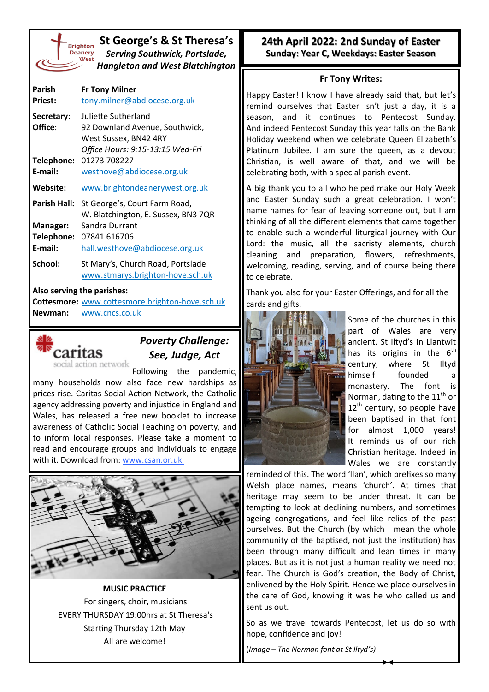| <b>Brighto</b> |
|----------------|
| <b>Deaner</b>  |
| We:            |
|                |
|                |

## **St George's & St Theresa's** *Serving Southwick, Portslade, Hangleton and West Blatchington*

| Parish<br><b>Priest:</b> | <b>Fr Tony Milner</b><br>tony.milner@abdiocese.org.uk                                                              |
|--------------------------|--------------------------------------------------------------------------------------------------------------------|
| Secretary:<br>Office:    | Juliette Sutherland<br>92 Downland Avenue, Southwick,<br>West Sussex, BN42 4RY<br>Office Hours: 9:15-13:15 Wed-Fri |
| Telephone:<br>E-mail:    | 01273 708227<br>westhove@abdiocese.org.uk                                                                          |
| Website:                 | www.brightondeanerywest.org.uk                                                                                     |
| <b>Parish Hall:</b>      | St George's, Court Farm Road,<br>W. Blatchington, E. Sussex, BN3 7QR                                               |
| Manager:                 | Sandra Durrant                                                                                                     |
| Telephone:               | 07841 616706                                                                                                       |
| E-mail:                  | hall.westhove@abdiocese.org.uk                                                                                     |
| School:                  | St Mary's, Church Road, Portslade<br>www.stmarys.brighton-hove.sch.uk                                              |
|                          |                                                                                                                    |

#### **Also serving the parishes:**

**Cottesmore:** [www.cottesmore.brighton](http://www.cottesmore.brighton-hove.sch.uk)-hove.sch.uk **Newman:** [www.cncs.co.uk](https://www.cncs.co.uk/)



# *Poverty Challenge: See, Judge, Act*

Following the pandemic, many households now also face new hardships as prices rise. Caritas Social Action Network, the Catholic agency addressing poverty and injustice in England and Wales, has released a free new booklet to increase awareness of Catholic Social Teaching on poverty, and to inform local responses. Please take a moment to read and encourage groups and individuals to engage with it. Download from: [www.csan.or.uk.](http://www.csan.or.uk)



**MUSIC PRACTICE** For singers, choir, musicians EVERY THURSDAY 19:00hrs at St Theresa's Starting Thursday 12th May All are welcome!

**24th April 2022: 2nd Sunday of Easter Sunday: Year C, Weekdays: Easter Season** 

### **Fr Tony Writes:**

Happy Easter! I know I have already said that, but let's remind ourselves that Easter isn't just a day, it is a season, and it continues to Pentecost Sunday. And indeed Pentecost Sunday this year falls on the Bank Holiday weekend when we celebrate Queen Elizabeth's Platinum Jubilee. I am sure the queen, as a devout Christian, is well aware of that, and we will be celebrating both, with a special parish event.

A big thank you to all who helped make our Holy Week and Easter Sunday such a great celebration. I won't name names for fear of leaving someone out, but I am thinking of all the different elements that came together to enable such a wonderful liturgical journey with Our Lord: the music, all the sacristy elements, church cleaning and preparation, flowers, refreshments, welcoming, reading, serving, and of course being there to celebrate.

Thank you also for your Easter Offerings, and for all the cards and gifts.



Some of the churches in this part of Wales are very ancient. St Iltyd's in Llantwit has its origins in the  $6^{th}$ century, where St Iltyd himself founded a monastery. The font is Norman, dating to the  $11^{\text{th}}$  or  $12^{th}$  century, so people have been baptised in that font for almost 1,000 years! It reminds us of our rich Christian heritage. Indeed in Wales we are constantly

reminded of this. The word 'llan', which prefixes so many Welsh place names, means 'church'. At times that heritage may seem to be under threat. It can be tempting to look at declining numbers, and sometimes ageing congregations, and feel like relics of the past ourselves. But the Church (by which I mean the whole community of the baptised, not just the institution) has been through many difficult and lean times in many places. But as it is not just a human reality we need not fear. The Church is God's creation, the Body of Christ, enlivened by the Holy Spirit. Hence we place ourselves in the care of God, knowing it was he who called us and sent us out.

So as we travel towards Pentecost, let us do so with hope, confidence and joy!

(*Image – The Norman font at St Iltyd's)*